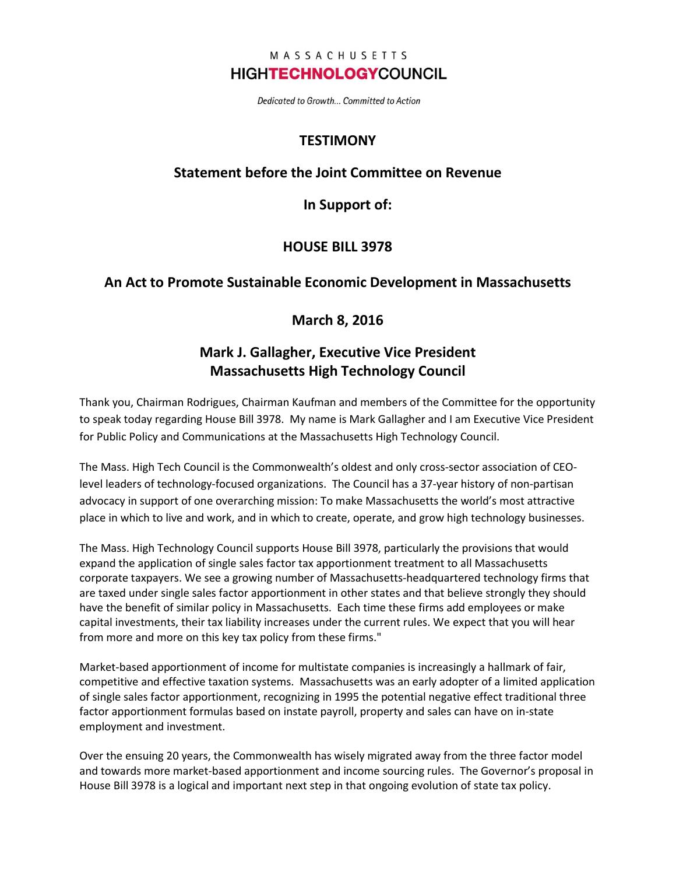#### MASSACHUSETTS **HIGHTECHNOLOGYCOUNCIL**

Dedicated to Growth... Committed to Action

## **TESTIMONY**

#### Statement before the Joint Committee on Revenue

In Support of:

### HOUSE BILL 3978

### An Act to Promote Sustainable Economic Development in Massachusetts

### March 8, 2016

## Mark J. Gallagher, Executive Vice President Massachusetts High Technology Council

Thank you, Chairman Rodrigues, Chairman Kaufman and members of the Committee for the opportunity to speak today regarding House Bill 3978. My name is Mark Gallagher and I am Executive Vice President for Public Policy and Communications at the Massachusetts High Technology Council.

The Mass. High Tech Council is the Commonwealth's oldest and only cross-sector association of CEOlevel leaders of technology-focused organizations. The Council has a 37-year history of non-partisan advocacy in support of one overarching mission: To make Massachusetts the world's most attractive place in which to live and work, and in which to create, operate, and grow high technology businesses.

The Mass. High Technology Council supports House Bill 3978, particularly the provisions that would expand the application of single sales factor tax apportionment treatment to all Massachusetts corporate taxpayers. We see a growing number of Massachusetts-headquartered technology firms that are taxed under single sales factor apportionment in other states and that believe strongly they should have the benefit of similar policy in Massachusetts. Each time these firms add employees or make capital investments, their tax liability increases under the current rules. We expect that you will hear from more and more on this key tax policy from these firms."

Market-based apportionment of income for multistate companies is increasingly a hallmark of fair, competitive and effective taxation systems. Massachusetts was an early adopter of a limited application of single sales factor apportionment, recognizing in 1995 the potential negative effect traditional three factor apportionment formulas based on instate payroll, property and sales can have on in-state employment and investment.

Over the ensuing 20 years, the Commonwealth has wisely migrated away from the three factor model and towards more market-based apportionment and income sourcing rules. The Governor's proposal in House Bill 3978 is a logical and important next step in that ongoing evolution of state tax policy.